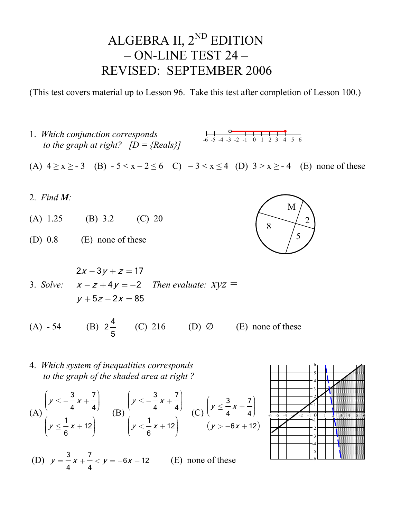## ALGEBRA II, 2<sup>ND</sup> EDITION – ON-LINE TEST 24 – REVISED: SEPTEMBER 2006

(This test covers material up to Lesson 96. Take this test after completion of Lesson 100.)

- 1. *Which conjunction corresponds to the graph at right?*  $[D = {Reals}]$ (A)  $4 \ge x \ge -3$  (B)  $-5 \le x - 2 \le 6$  C)  $-3 \le x \le 4$  (D)  $3 > x \ge -4$  (E) none of these 2. *Find M:* (A) 1.25 (B) 3.2 (C) 20 (D) 0.8 (E) none of these 3. *Solve:*   $2x - 3y + z = 17$  $x - z + 4y = -2$  $y + 5z - 2x = 85$  *Then evaluate: xyz =*  (A)  $-54$  (B)  $2\frac{4}{5}$ (C) 216 (D)  $\varnothing$  (E) none of these  $-6$  -5 -4 -3 -2 -1 0 1 2 3 4 5 6 8 M  $\mathcal{L}$ 5
- 4. *Which system of inequalities corresponds to the graph of the shaded area at right ?*

5

(A) 
$$
\begin{pmatrix} y \le -\frac{3}{4}x + \frac{7}{4} \\ y \le \frac{1}{6}x + 12 \end{pmatrix}
$$
 (B)  $\begin{pmatrix} y \le -\frac{3}{4}x + \frac{7}{4} \\ y \le \frac{1}{6}x + 12 \end{pmatrix}$  (C)  $\begin{pmatrix} y \le \frac{3}{4}x + \frac{7}{4} \\ y > -6x + 12 \end{pmatrix}$ 

(D) 
$$
y = \frac{3}{4}x + \frac{7}{4} < y = -6x + 12
$$
 (E) none of these

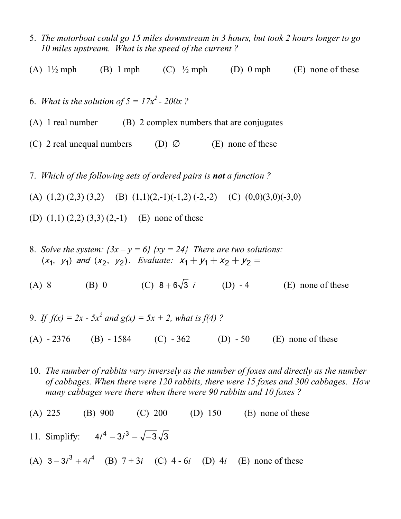- 5. *The motorboat could go 15 miles downstream in 3 hours, but took 2 hours longer to go 10 miles upstream. What is the speed of the current ?*
- (A)  $1\frac{1}{2}$  mph (B) 1 mph (C)  $\frac{1}{2}$  mph (D) 0 mph (E) none of these
- 6. *What is the solution of*  $5 = 17x^2 200x$ ?
- (A) 1 real number (B) 2 complex numbers that are conjugates
- (C) 2 real unequal numbers (D)  $\varnothing$  (E) none of these
- 7. *Which of the following sets of ordered pairs is not a function ?*
- (A)  $(1,2)$   $(2,3)$   $(3,2)$   $(B)$   $(1,1)$  $(2,-1)$  $(-1,2)$   $(-2,-2)$   $(C)$   $(0,0)$  $(3,0)$  $(-3,0)$
- (D)  $(1,1)$   $(2,2)$   $(3,3)$   $(2,-1)$  (E) none of these
- 8. *Solve the system:*  $\{3x y = 6\}$   $\{xy = 24\}$  There are two solutions:  $(x_1, y_1)$  and  $(x_2, y_2)$ . Evaluate:  $x_1 + y_1 + x_2 + y_2 =$
- (A) 8 (B) 0 (C)  $8 + 6\sqrt{3} i$  (D) 4 (E) none of these
- 9. If  $f(x) = 2x 5x^2$  and  $g(x) = 5x + 2$ , what is  $f(4)$  ?
- (A)  $-2376$  (B)  $-1584$  (C)  $-362$  (D)  $-50$  (E) none of these
- 10. *The number of rabbits vary inversely as the number of foxes and directly as the number of cabbages. When there were 120 rabbits, there were 15 foxes and 300 cabbages. How many cabbages were there when there were 90 rabbits and 10 foxes ?*
- (A) 225 (B) 900 (C) 200 (D) 150 (E) none of these
- 11. Simplify:  $4i^4 3i^3 \sqrt{-3}\sqrt{3}$
- (A)  $3 3i^3 + 4i^4$  (B)  $7 + 3i$  (C)  $4 6i$  (D)  $4i$  (E) none of these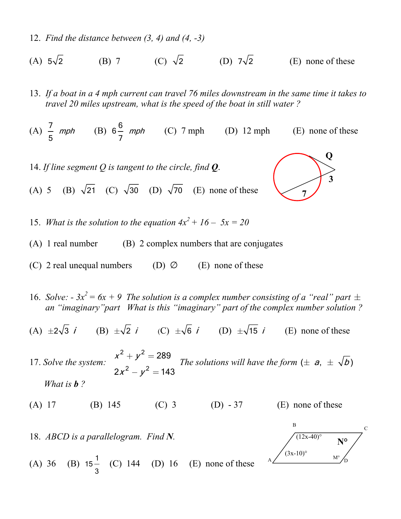- 12. *Find the distance between (3, 4) and (4, -3)*
- (A)  $5\sqrt{2}$  (B) 7 (C)  $\sqrt{2}$  (D)  $7\sqrt{2}$  (E) none of these
- 13. *If a boat in a 4 mph current can travel 76 miles downstream in the same time it takes to travel 20 miles upstream, what is the speed of the boat in still water ?*

(A)  $\frac{7}{5}$  mph (B)  $6\frac{6}{7}$  mph (C) 7 mph (D) 12 mph (E) none of these

- 14. *If line segment Q is tangent to the circle, find Q*.
- (A) 5 (B)  $\sqrt{21}$  (C)  $\sqrt{30}$  (D)  $\sqrt{70}$  (E) none of these



15. *What is the solution to the equation*  $4x^2 + 16 - 5x = 20$ 

- (A) 1 real number (B) 2 complex numbers that are conjugates
- (C) 2 real unequal numbers (D)  $\varnothing$  (E) none of these
- 16. *Solve:*  $3x^2 = 6x + 9$  *The solution is a complex number consisting of a "real" part*  $\pm$  *an "imaginary"part What is this "imaginary" part of the complex number solution ?*
- (A)  $\pm 2\sqrt{3}$  *i* (B)  $\pm \sqrt{2}$  *i* (C)  $\pm \sqrt{6}$  *i* (D)  $\pm \sqrt{15}$  *i* (E) none of these

17. *Solve the system:* 2, 2 2 2 289  $2x^2 - y^2 = 143$  $x^- + y$  $X^- - y$  $+ y^2 =$  $-y^2 =$ *The solutions will have the form*  $(\pm a, \pm \sqrt{b})$ *What is b ?* 

(A) 17 (B) 145 (C) 3 (D) - 37 (E) none of these

18. *ABCD is a parallelogram. Find N.* 



(A) 36 (B)  $15-\frac{1}{2}$ 3 (C)  $144$  (D)  $16$  (E) none of these